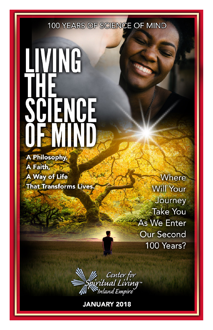**100 YEARS OF SCIENCE OF MIND** 

# **IVING ATENCE**

**A Philosophy** A Faith, A Way of Life **That Transforms Lives** 

Where **Will Your** Journey **Take You As We Enter Our Second** 100 Years?



**JANUARY 2018**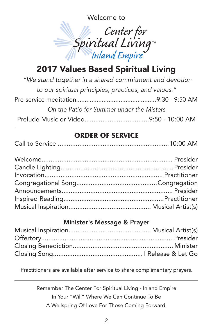Welcome to



# 2017 Values Based Spiritual Living

| "We stand together in a shared commitment and devotion |  |
|--------------------------------------------------------|--|
| to our spiritual principles, practices, and values."   |  |
|                                                        |  |
| On the Patio for Summer under the Misters              |  |
|                                                        |  |

#### **ORDER OF SERVICE**

|--|--|--|

#### Minister's Message & Prayer

Practitioners are available after service to share complimentary prayers.

Remember The Center For Spiritual Living - Inland Empire In Your "Will" Where We Can Continue To Be A Wellspring Of Love For Those Coming Forward.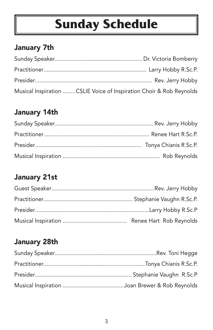# **Sunday Schedule**

## January 7th

| Musical Inspiration CSLIE Voice of Inspiration Choir & Rob Reynolds |  |
|---------------------------------------------------------------------|--|

# January 14th

# January 21st

# January 28th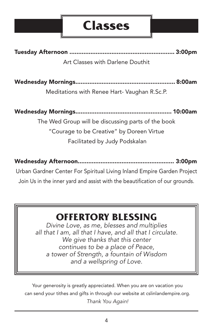# **Classes**

Tuesday Afternoon ............................................................ 3:00pm Art Classes with Darlene Douthit

Wednesday Mornings......................................................... 8:00am

Meditations with Renee Hart- Vaughan R.Sc.P.

Wednesday Mornings....................................................... 10:00am The Wed Group will be discussing parts of the book "Courage to be Creative" by Doreen Virtue Facilitated by Judy Podskalan

Wednesday Afternoon....................................................... 3:00pm

Urban Gardner Center For Spiritual Living Inland Empire Garden Project Join Us in the inner yard and assist with the beautification of our grounds.

# **OFFERTORY BLESSING**

*Divine Love, as me, blesses and multiplies all that I am, all that I have, and all that I circulate. We give thanks that this center continues to be a place of Peace, a tower of Strength, a fountain of Wisdom and a wellspring of Love.*

Your generosity is greatly appreciated. When you are on vacation you can send your tithes and gifts in through our website at cslinlandempire.org. *Thank You Again!*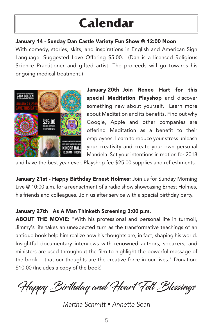# **Calendar**

#### January 14 - Sunday Dan Castle Variety Fun Show @ 12:00 Noon

With comedy, stories, skits, and inspirations in English and American Sign Language. Suggested Love Offering \$5.00. (Dan is a licensed Religious Science Practitioner and gifted artist. The proceeds will go towards his ongoing medical treatment.)



January 20th Join Renee Hart for this special Meditation Playshop and discover something new about yourself. Learn more about Meditation and its benefits. Find out why Google, Apple and other companies are offering Meditation as a benefit to their employees. Learn to reduce your stress unleash your creativity and create your own personal Mandela. Set your intentions in motion for 2018

and have the best year ever. Playshop fee \$25.00 supplies and refreshments.

January 21st - Happy Birthday Ernest Holmes: Join us for Sunday Morning Live @ 10:00 a.m. for a reenactment of a radio show showcasing Ernest Holmes, his friends and colleagues. Join us after service with a special birthday party.

#### January 27th As A Man Thinketh Screening 3:00 p.m.

ABOUT THE MOVIE: "With his professional and personal life in turmoil, Jimmy's life takes an unexpected turn as the transformative teachings of an antique book help him realize how his thoughts are, in fact, shaping his world. Insightful documentary interviews with renowned authors, speakers, and ministers are used throughout the film to highlight the powerful message of the book -- that our thoughts are the creative force in our lives." Donation: \$10.00 (Includes a copy of the book)

Happy Birthday and Heart Felt Blessings

*Martha Schmitt • Annette Searl*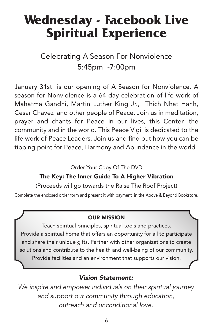# **Wednesday - Facebook Live Spiritual Experience**

Celebrating A Season For Nonviolence 5:45pm -7:00pm

January 31st is our opening of A Season for Nonviolence. A season for Nonviolence is a 64 day celebration of life work of Mahatma Gandhi, Martin Luther King Jr., Thich Nhat Hanh, Cesar Chavez and other people of Peace. Join us in meditation, prayer and chants for Peace in our lives, this Center, the community and in the world. This Peace Vigil is dedicated to the life work of Peace Leaders. Join us and find out how you can be tipping point for Peace, Harmony and Abundance in the world.

Order Your Copy Of The DVD

#### The Key: The Inner Guide To A Higher Vibration

(Proceeds will go towards the Raise The Roof Project)

Complete the enclosed order form and present it with payment in the Above & Beyond Bookstore.

#### OUR MISSION

Teach spiritual principles, spiritual tools and practices. Provide a spiritual home that offers an opportunity for all to participate and share their unique gifts. Partner with other organizations to create solutions and contribute to the health and well-being of our community. Provide facilities and an environment that supports our vision.

#### *Vision Statement:*

*We inspire and empower individuals on their spiritual journey and support our community through education, outreach and unconditional love.*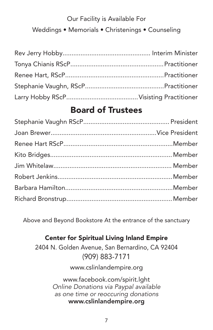## Our Facility is Available For Weddings • Memorials • Christenings • Counseling

## Board of Trustees

Above and Beyond Bookstore At the entrance of the sanctuary

#### Center for Spiritual Living Inland Empire

2404 N. Golden Avenue, San Bernardino, CA 92404 (909) 883-7171

www.cslinlandempire.org

www.facebook.com/spirit.lght *Online Donations via Paypal available as one time or reoccuring donations* www.cslinlandempire.org